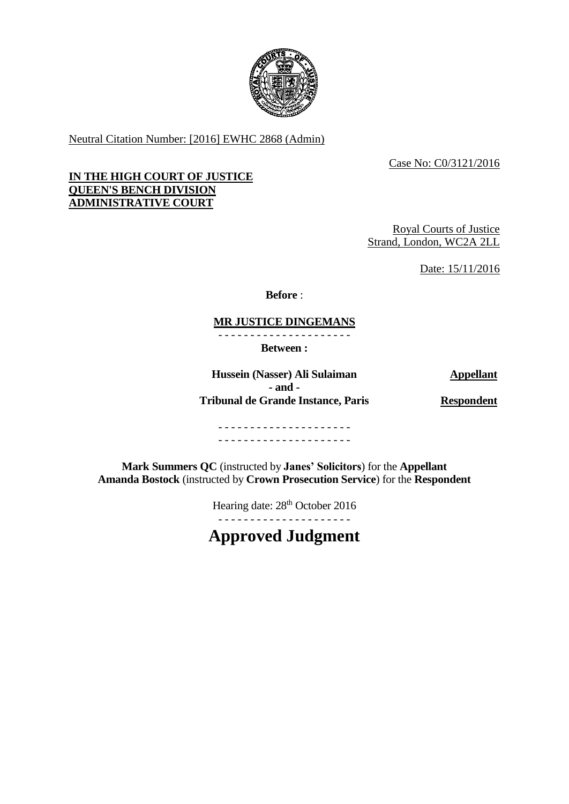

Neutral Citation Number: [2016] EWHC 2868 (Admin)

Case No: C0/3121/2016

## **IN THE HIGH COURT OF JUSTICE QUEEN'S BENCH DIVISION ADMINISTRATIVE COURT**

Royal Courts of Justice Strand, London, WC2A 2LL

Date: 15/11/2016

**Before** :

# **MR JUSTICE DINGEMANS**

- - - - - - - - - - - - - - - - - - - - -

**Between :**

**Hussein (Nasser) Ali Sulaiman Appellant - and - Tribunal de Grande Instance, Paris Respondent**

- - - - - - - - - - - - - - - - - - - - - - - - - - - - - - - - - - - - - - - - - -

**Mark Summers QC** (instructed by **Janes' Solicitors**) for the **Appellant Amanda Bostock** (instructed by **Crown Prosecution Service**) for the **Respondent**

Hearing date:  $28<sup>th</sup>$  October 2016

**Approved Judgment**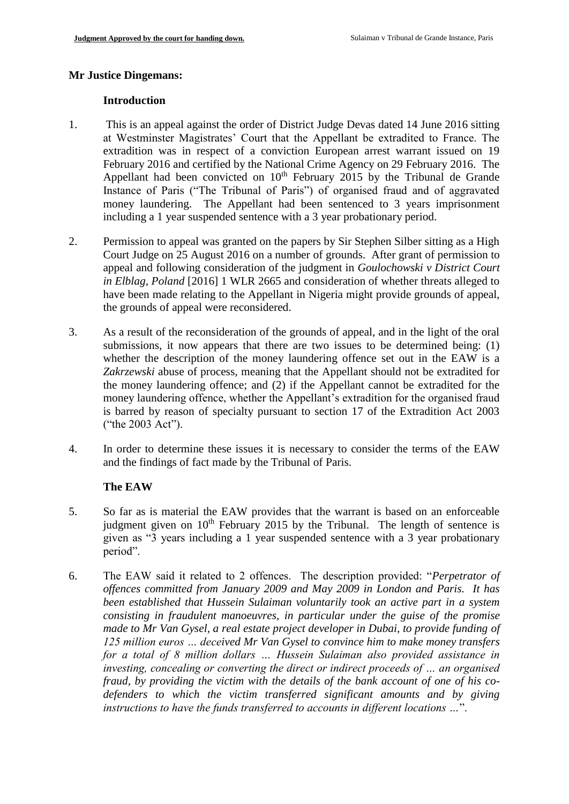#### **Mr Justice Dingemans:**

#### **Introduction**

- 1. This is an appeal against the order of District Judge Devas dated 14 June 2016 sitting at Westminster Magistrates' Court that the Appellant be extradited to France. The extradition was in respect of a conviction European arrest warrant issued on 19 February 2016 and certified by the National Crime Agency on 29 February 2016. The Appellant had been convicted on  $10<sup>th</sup>$  February 2015 by the Tribunal de Grande Instance of Paris ("The Tribunal of Paris") of organised fraud and of aggravated money laundering. The Appellant had been sentenced to 3 years imprisonment including a 1 year suspended sentence with a 3 year probationary period.
- 2. Permission to appeal was granted on the papers by Sir Stephen Silber sitting as a High Court Judge on 25 August 2016 on a number of grounds. After grant of permission to appeal and following consideration of the judgment in *Goulochowski v District Court in Elblag, Poland* [2016] 1 WLR 2665 and consideration of whether threats alleged to have been made relating to the Appellant in Nigeria might provide grounds of appeal, the grounds of appeal were reconsidered.
- 3. As a result of the reconsideration of the grounds of appeal, and in the light of the oral submissions, it now appears that there are two issues to be determined being: (1) whether the description of the money laundering offence set out in the EAW is a *Zakrzewski* abuse of process, meaning that the Appellant should not be extradited for the money laundering offence; and (2) if the Appellant cannot be extradited for the money laundering offence, whether the Appellant's extradition for the organised fraud is barred by reason of specialty pursuant to section 17 of the Extradition Act 2003 ("the 2003 Act").
- 4. In order to determine these issues it is necessary to consider the terms of the EAW and the findings of fact made by the Tribunal of Paris.

# **The EAW**

- 5. So far as is material the EAW provides that the warrant is based on an enforceable judgment given on  $10<sup>th</sup>$  February 2015 by the Tribunal. The length of sentence is given as "3 years including a 1 year suspended sentence with a 3 year probationary period".
- 6. The EAW said it related to 2 offences. The description provided: "*Perpetrator of offences committed from January 2009 and May 2009 in London and Paris. It has been established that Hussein Sulaiman voluntarily took an active part in a system consisting in fraudulent manoeuvres, in particular under the guise of the promise made to Mr Van Gysel, a real estate project developer in Dubai, to provide funding of 125 million euros … deceived Mr Van Gysel to convince him to make money transfers for a total of 8 million dollars … Hussein Sulaiman also provided assistance in investing, concealing or converting the direct or indirect proceeds of … an organised fraud, by providing the victim with the details of the bank account of one of his codefenders to which the victim transferred significant amounts and by giving instructions to have the funds transferred to accounts in different locations …*".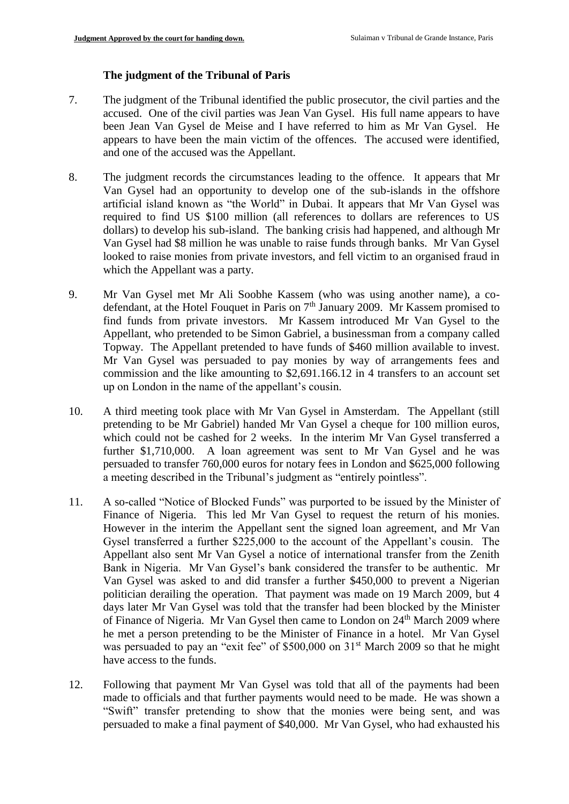# **The judgment of the Tribunal of Paris**

- 7. The judgment of the Tribunal identified the public prosecutor, the civil parties and the accused. One of the civil parties was Jean Van Gysel. His full name appears to have been Jean Van Gysel de Meise and I have referred to him as Mr Van Gysel. He appears to have been the main victim of the offences. The accused were identified, and one of the accused was the Appellant.
- 8. The judgment records the circumstances leading to the offence. It appears that Mr Van Gysel had an opportunity to develop one of the sub-islands in the offshore artificial island known as "the World" in Dubai. It appears that Mr Van Gysel was required to find US \$100 million (all references to dollars are references to US dollars) to develop his sub-island. The banking crisis had happened, and although Mr Van Gysel had \$8 million he was unable to raise funds through banks. Mr Van Gysel looked to raise monies from private investors, and fell victim to an organised fraud in which the Appellant was a party.
- 9. Mr Van Gysel met Mr Ali Soobhe Kassem (who was using another name), a codefendant, at the Hotel Fouquet in Paris on  $7<sup>th</sup>$  January 2009. Mr Kassem promised to find funds from private investors. Mr Kassem introduced Mr Van Gysel to the Appellant, who pretended to be Simon Gabriel, a businessman from a company called Topway. The Appellant pretended to have funds of \$460 million available to invest. Mr Van Gysel was persuaded to pay monies by way of arrangements fees and commission and the like amounting to \$2,691.166.12 in 4 transfers to an account set up on London in the name of the appellant's cousin.
- 10. A third meeting took place with Mr Van Gysel in Amsterdam. The Appellant (still pretending to be Mr Gabriel) handed Mr Van Gysel a cheque for 100 million euros, which could not be cashed for 2 weeks. In the interim Mr Van Gysel transferred a further \$1,710,000. A loan agreement was sent to Mr Van Gysel and he was persuaded to transfer 760,000 euros for notary fees in London and \$625,000 following a meeting described in the Tribunal's judgment as "entirely pointless".
- 11. A so-called "Notice of Blocked Funds" was purported to be issued by the Minister of Finance of Nigeria. This led Mr Van Gysel to request the return of his monies. However in the interim the Appellant sent the signed loan agreement, and Mr Van Gysel transferred a further \$225,000 to the account of the Appellant's cousin. The Appellant also sent Mr Van Gysel a notice of international transfer from the Zenith Bank in Nigeria. Mr Van Gysel's bank considered the transfer to be authentic. Mr Van Gysel was asked to and did transfer a further \$450,000 to prevent a Nigerian politician derailing the operation. That payment was made on 19 March 2009, but 4 days later Mr Van Gysel was told that the transfer had been blocked by the Minister of Finance of Nigeria. Mr Van Gysel then came to London on 24<sup>th</sup> March 2009 where he met a person pretending to be the Minister of Finance in a hotel. Mr Van Gysel was persuaded to pay an "exit fee" of \$500,000 on 31<sup>st</sup> March 2009 so that he might have access to the funds.
- 12. Following that payment Mr Van Gysel was told that all of the payments had been made to officials and that further payments would need to be made. He was shown a "Swift" transfer pretending to show that the monies were being sent, and was persuaded to make a final payment of \$40,000. Mr Van Gysel, who had exhausted his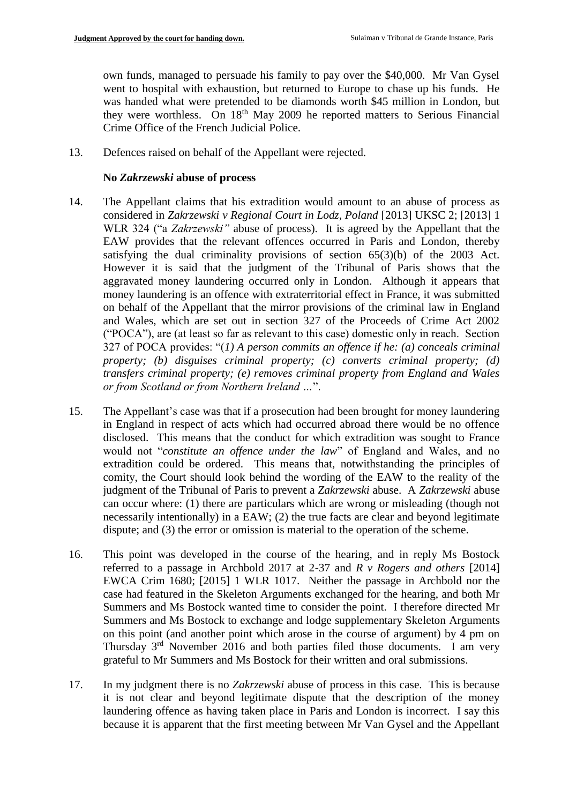own funds, managed to persuade his family to pay over the \$40,000. Mr Van Gysel went to hospital with exhaustion, but returned to Europe to chase up his funds. He was handed what were pretended to be diamonds worth \$45 million in London, but they were worthless. On 18<sup>th</sup> May 2009 he reported matters to Serious Financial Crime Office of the French Judicial Police.

13. Defences raised on behalf of the Appellant were rejected.

#### **No** *Zakrzewski* **abuse of process**

- 14. The Appellant claims that his extradition would amount to an abuse of process as considered in *Zakrzewski v Regional Court in Lodz, Poland* [2013] UKSC 2; [2013] 1 WLR 324 ("a *Zakrzewski"* abuse of process). It is agreed by the Appellant that the EAW provides that the relevant offences occurred in Paris and London, thereby satisfying the dual criminality provisions of section 65(3)(b) of the 2003 Act. However it is said that the judgment of the Tribunal of Paris shows that the aggravated money laundering occurred only in London. Although it appears that money laundering is an offence with extraterritorial effect in France, it was submitted on behalf of the Appellant that the mirror provisions of the criminal law in England and Wales, which are set out in section 327 of the Proceeds of Crime Act 2002 ("POCA"), are (at least so far as relevant to this case) domestic only in reach. Section 327 of POCA provides: "(*1) A person commits an offence if he: (a) conceals criminal property; (b) disguises criminal property; (c) converts criminal property; (d) transfers criminal property; (e) removes criminal property from England and Wales or from Scotland or from Northern Ireland …*".
- 15. The Appellant's case was that if a prosecution had been brought for money laundering in England in respect of acts which had occurred abroad there would be no offence disclosed. This means that the conduct for which extradition was sought to France would not "*constitute an offence under the law*" of England and Wales, and no extradition could be ordered. This means that, notwithstanding the principles of comity, the Court should look behind the wording of the EAW to the reality of the judgment of the Tribunal of Paris to prevent a *Zakrzewski* abuse. A *Zakrzewski* abuse can occur where: (1) there are particulars which are wrong or misleading (though not necessarily intentionally) in a EAW; (2) the true facts are clear and beyond legitimate dispute; and (3) the error or omission is material to the operation of the scheme.
- 16. This point was developed in the course of the hearing, and in reply Ms Bostock referred to a passage in Archbold 2017 at 2-37 and *R v Rogers and others* [2014] EWCA Crim 1680; [2015] 1 WLR 1017. Neither the passage in Archbold nor the case had featured in the Skeleton Arguments exchanged for the hearing, and both Mr Summers and Ms Bostock wanted time to consider the point. I therefore directed Mr Summers and Ms Bostock to exchange and lodge supplementary Skeleton Arguments on this point (and another point which arose in the course of argument) by 4 pm on Thursday 3rd November 2016 and both parties filed those documents. I am very grateful to Mr Summers and Ms Bostock for their written and oral submissions.
- 17. In my judgment there is no *Zakrzewski* abuse of process in this case. This is because it is not clear and beyond legitimate dispute that the description of the money laundering offence as having taken place in Paris and London is incorrect. I say this because it is apparent that the first meeting between Mr Van Gysel and the Appellant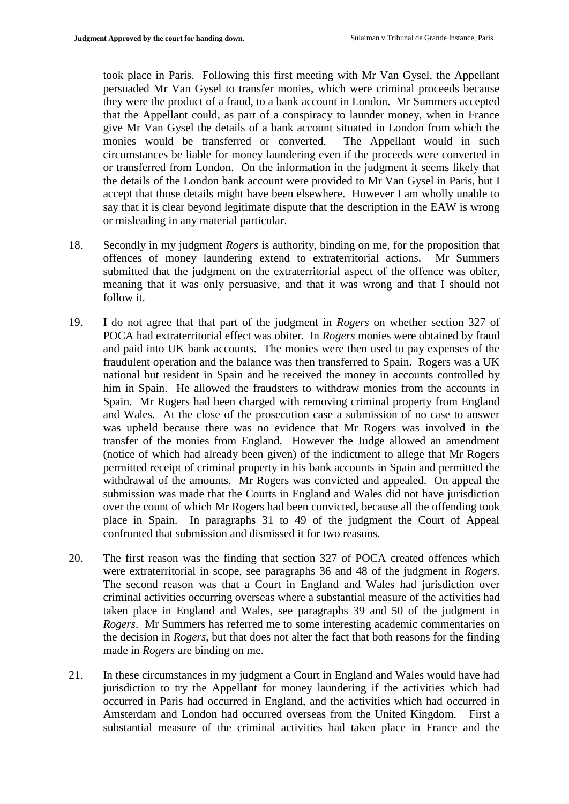took place in Paris. Following this first meeting with Mr Van Gysel, the Appellant persuaded Mr Van Gysel to transfer monies, which were criminal proceeds because they were the product of a fraud, to a bank account in London. Mr Summers accepted that the Appellant could, as part of a conspiracy to launder money, when in France give Mr Van Gysel the details of a bank account situated in London from which the monies would be transferred or converted. The Appellant would in such circumstances be liable for money laundering even if the proceeds were converted in or transferred from London. On the information in the judgment it seems likely that the details of the London bank account were provided to Mr Van Gysel in Paris, but I accept that those details might have been elsewhere. However I am wholly unable to say that it is clear beyond legitimate dispute that the description in the EAW is wrong or misleading in any material particular.

- 18. Secondly in my judgment *Rogers* is authority, binding on me, for the proposition that offences of money laundering extend to extraterritorial actions. Mr Summers submitted that the judgment on the extraterritorial aspect of the offence was obiter, meaning that it was only persuasive, and that it was wrong and that I should not follow it.
- 19. I do not agree that that part of the judgment in *Rogers* on whether section 327 of POCA had extraterritorial effect was obiter. In *Rogers* monies were obtained by fraud and paid into UK bank accounts. The monies were then used to pay expenses of the fraudulent operation and the balance was then transferred to Spain. Rogers was a UK national but resident in Spain and he received the money in accounts controlled by him in Spain. He allowed the fraudsters to withdraw monies from the accounts in Spain. Mr Rogers had been charged with removing criminal property from England and Wales. At the close of the prosecution case a submission of no case to answer was upheld because there was no evidence that Mr Rogers was involved in the transfer of the monies from England. However the Judge allowed an amendment (notice of which had already been given) of the indictment to allege that Mr Rogers permitted receipt of criminal property in his bank accounts in Spain and permitted the withdrawal of the amounts. Mr Rogers was convicted and appealed. On appeal the submission was made that the Courts in England and Wales did not have jurisdiction over the count of which Mr Rogers had been convicted, because all the offending took place in Spain. In paragraphs 31 to 49 of the judgment the Court of Appeal confronted that submission and dismissed it for two reasons.
- 20. The first reason was the finding that section 327 of POCA created offences which were extraterritorial in scope, see paragraphs 36 and 48 of the judgment in *Rogers*. The second reason was that a Court in England and Wales had jurisdiction over criminal activities occurring overseas where a substantial measure of the activities had taken place in England and Wales, see paragraphs 39 and 50 of the judgment in *Rogers*. Mr Summers has referred me to some interesting academic commentaries on the decision in *Rogers*, but that does not alter the fact that both reasons for the finding made in *Rogers* are binding on me.
- 21. In these circumstances in my judgment a Court in England and Wales would have had jurisdiction to try the Appellant for money laundering if the activities which had occurred in Paris had occurred in England, and the activities which had occurred in Amsterdam and London had occurred overseas from the United Kingdom. First a substantial measure of the criminal activities had taken place in France and the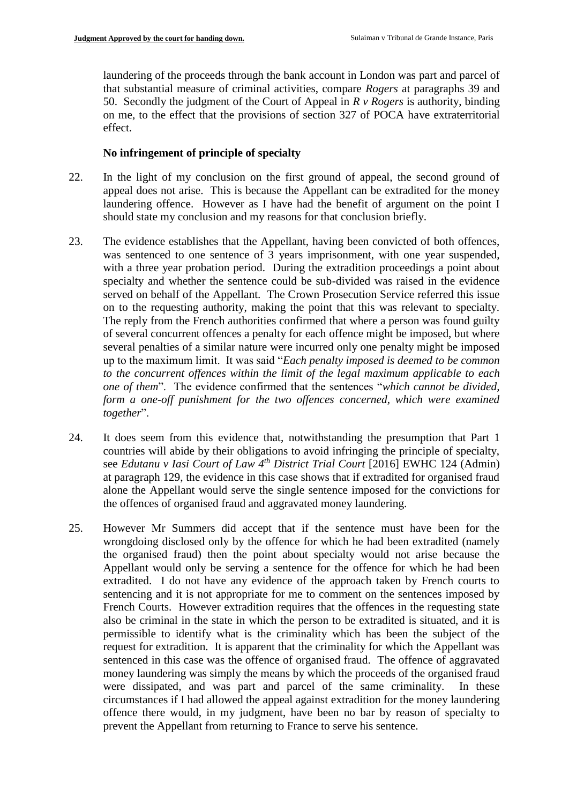laundering of the proceeds through the bank account in London was part and parcel of that substantial measure of criminal activities, compare *Rogers* at paragraphs 39 and 50. Secondly the judgment of the Court of Appeal in *R v Rogers* is authority, binding on me, to the effect that the provisions of section 327 of POCA have extraterritorial effect.

#### **No infringement of principle of specialty**

- 22. In the light of my conclusion on the first ground of appeal, the second ground of appeal does not arise. This is because the Appellant can be extradited for the money laundering offence. However as I have had the benefit of argument on the point I should state my conclusion and my reasons for that conclusion briefly.
- 23. The evidence establishes that the Appellant, having been convicted of both offences, was sentenced to one sentence of 3 years imprisonment, with one year suspended, with a three year probation period. During the extradition proceedings a point about specialty and whether the sentence could be sub-divided was raised in the evidence served on behalf of the Appellant. The Crown Prosecution Service referred this issue on to the requesting authority, making the point that this was relevant to specialty. The reply from the French authorities confirmed that where a person was found guilty of several concurrent offences a penalty for each offence might be imposed, but where several penalties of a similar nature were incurred only one penalty might be imposed up to the maximum limit. It was said "*Each penalty imposed is deemed to be common to the concurrent offences within the limit of the legal maximum applicable to each one of them*". The evidence confirmed that the sentences "*which cannot be divided,*  form a one-off punishment for the two offences concerned, which were examined *together*".
- 24. It does seem from this evidence that, notwithstanding the presumption that Part 1 countries will abide by their obligations to avoid infringing the principle of specialty, see *Edutanu v Iasi Court of Law 4th District Trial Court* [2016] EWHC 124 (Admin) at paragraph 129, the evidence in this case shows that if extradited for organised fraud alone the Appellant would serve the single sentence imposed for the convictions for the offences of organised fraud and aggravated money laundering.
- 25. However Mr Summers did accept that if the sentence must have been for the wrongdoing disclosed only by the offence for which he had been extradited (namely the organised fraud) then the point about specialty would not arise because the Appellant would only be serving a sentence for the offence for which he had been extradited. I do not have any evidence of the approach taken by French courts to sentencing and it is not appropriate for me to comment on the sentences imposed by French Courts. However extradition requires that the offences in the requesting state also be criminal in the state in which the person to be extradited is situated, and it is permissible to identify what is the criminality which has been the subject of the request for extradition. It is apparent that the criminality for which the Appellant was sentenced in this case was the offence of organised fraud. The offence of aggravated money laundering was simply the means by which the proceeds of the organised fraud were dissipated, and was part and parcel of the same criminality. In these circumstances if I had allowed the appeal against extradition for the money laundering offence there would, in my judgment, have been no bar by reason of specialty to prevent the Appellant from returning to France to serve his sentence.